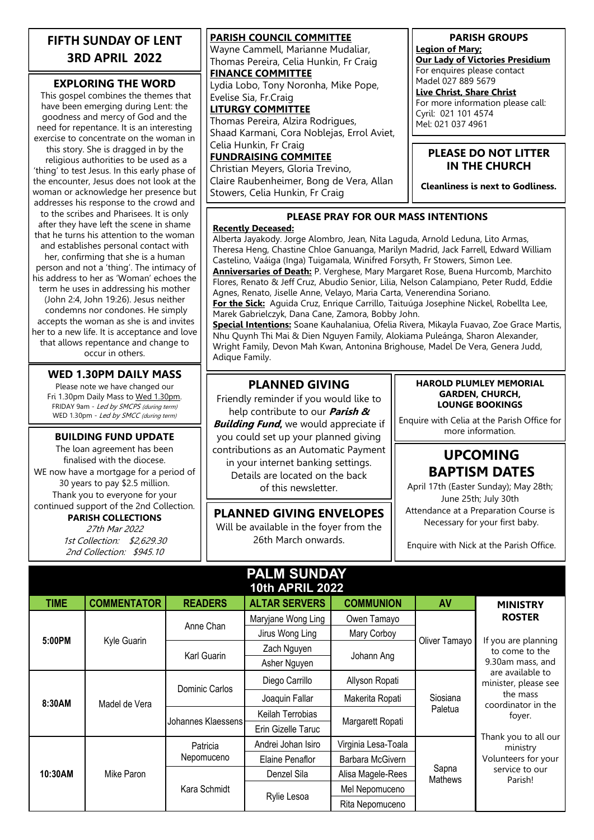### **FIFTH SUNDAY OF LENT 3RD APRIL 2022**

#### **EXPLORING THE WORD**

This gospel combines the themes that have been emerging during Lent: the goodness and mercy of God and the need for repentance. It is an interesting exercise to concentrate on the woman in

this story. She is dragged in by the religious authorities to be used as a 'thing' to test Jesus. In this early phase of the encounter, Jesus does not look at the woman or acknowledge her presence but addresses his response to the crowd and to the scribes and Pharisees. It is only after they have left the scene in shame that he turns his attention to the woman and establishes personal contact with her, confirming that she is a human person and not a 'thing'. The intimacy of his address to her as 'Woman' echoes the term he uses in addressing his mother (John 2:4, John 19:26). Jesus neither condemns nor condones. He simply accepts the woman as she is and invites her to a new life. It is acceptance and love that allows repentance and change to occur in others.

#### **WED 1.30PM DAILY MASS**

Please note we have changed our Fri 1.30pm Daily Mass to Wed 1.30pm. FRIDAY 9am - Led by SMCPS (during term) WED 1.30pm - Led by SMCC (during term)

The loan agreement has been finalised with the diocese. WE now have a mortgage for a period of 30 years to pay \$2.5 million. Thank you to everyone for your continued support of the 2nd Collection. **PARISH COLLECTIONS**

> 27th Mar 2022 1st Collection: \$2,629.30 2nd Collection: \$945.10

**PARISH COUNCIL COMMITTEE** Wayne Cammell, Marianne Mudaliar, Thomas Pereira, Celia Hunkin, Fr Craig **FINANCE COMMITTEE** Lydia Lobo, Tony Noronha, Mike Pope, Evelise Sia, Fr.Craig **LITURGY COMMITTEE** Thomas Pereira, Alzira Rodrigues, Shaad Karmani, Cora Noblejas, Errol Aviet, Celia Hunkin, Fr Craig **FUNDRAISING COMMITEE**

Christian Meyers, Gloria Trevino, Claire Raubenheimer, Bong de Vera, Allan Stowers, Celia Hunkin, Fr Craig

**PARISH GROUPS**

**Legion of Mary; Our Lady of Victories Presidium** For enquires please contact Madel 027 889 5679

**Live Christ, Share Christ** For more information please call: Cyril: 021 101 4574 Mel: 021 037 4961

#### **PLEASE DO NOT LITTER IN THE CHURCH**

**Cleanliness is next to Godliness.**

#### **PLEASE PRAY FOR OUR MASS INTENTIONS**

#### **Recently Deceased:**

Alberta Jayakody. Jorge Alombro, Jean, Nita Laguda, Arnold Leduna, Lito Armas, Theresa Heng, Chastine Chloe Ganuanga, Marilyn Madrid, Jack Farrell, Edward William Castelino, Vaáiga (Inga) Tuigamala, Winifred Forsyth, Fr Stowers, Simon Lee. **Anniversaries of Death:** P. Verghese, Mary Margaret Rose, Buena Hurcomb, Marchito Flores, Renato & Jeff Cruz, Abudio Senior, Lilia, Nelson Calampiano, Peter Rudd, Eddie Agnes, Renato, Jiselle Anne, Velayo, Maria Carta, Venerendina Soriano.

**For the Sick:** Aguida Cruz, Enrique Carrillo, Taituúga Josephine Nickel, Robellta Lee, Marek Gabrielczyk, Dana Cane, Zamora, Bobby John.

**Special Intentions:** Soane Kauhalaniua, Ofelia Rivera, Mikayla Fuavao, Zoe Grace Martis, Nhu Quynh Thi Mai & Dien Nguyen Family, Alokiama Puleánga, Sharon Alexander, Wright Family, Devon Mah Kwan, Antonina Brighouse, Madel De Vera, Genera Judd, Adique Family.

### **PLANNED GIVING**

**BUILDING FUND UPDATE** you could set up your planned giving **the substitution** more information. Friendly reminder if you would like to help contribute to our **Parish & Building Fund,** we would appreciate if contributions as an Automatic Payment in your internet banking settings. Details are located on the back of this newsletter.

> **PLANNED GIVING ENVELOPES** Will be available in the foyer from the 26th March onwards.

#### **HAROLD PLUMLEY MEMORIAL GARDEN, CHURCH, LOUNGE BOOKINGS**

Enquire with Celia at the Parish Office for

# **UPCOMING BAPTISM DATES**

April 17th (Easter Sunday); May 28th; June 25th; July 30th Attendance at a Preparation Course is Necessary for your first baby.

Enquire with Nick at the Parish Office.

# **PALM SUNDAY**

| <b>10th APRIL 2022</b> |                    |                        |                      |                     |                         |                                                                                                                                                                                                                                           |  |  |
|------------------------|--------------------|------------------------|----------------------|---------------------|-------------------------|-------------------------------------------------------------------------------------------------------------------------------------------------------------------------------------------------------------------------------------------|--|--|
| <b>TIME</b>            | <b>COMMENTATOR</b> | <b>READERS</b>         | <b>ALTAR SERVERS</b> | <b>COMMUNION</b>    | AV                      | <b>MINISTRY</b>                                                                                                                                                                                                                           |  |  |
| 5:00PM                 | Kyle Guarin        | Anne Chan              | Maryjane Wong Ling   | Owen Tamayo         | Oliver Tamayo           | <b>ROSTER</b>                                                                                                                                                                                                                             |  |  |
|                        |                    |                        | Jirus Wong Ling      | Mary Corboy         |                         | If you are planning<br>to come to the<br>9.30am mass, and<br>are available to<br>minister, please see<br>the mass<br>coordinator in the<br>foyer.<br>Thank you to all our<br>ministry<br>Volunteers for your<br>service to our<br>Parish! |  |  |
|                        |                    | Karl Guarin            | Zach Nguyen          | Johann Ang          |                         |                                                                                                                                                                                                                                           |  |  |
|                        |                    |                        | Asher Nguyen         |                     |                         |                                                                                                                                                                                                                                           |  |  |
| 8:30AM                 | Madel de Vera      | Dominic Carlos         | Diego Carrillo       | Allyson Ropati      | Siosiana<br>Paletua     |                                                                                                                                                                                                                                           |  |  |
|                        |                    |                        | Joaquin Fallar       | Makerita Ropati     |                         |                                                                                                                                                                                                                                           |  |  |
|                        |                    | Johannes Klaessens     | Keilah Terrobias     | Margarett Ropati    |                         |                                                                                                                                                                                                                                           |  |  |
|                        |                    |                        | Erin Gizelle Taruc   |                     |                         |                                                                                                                                                                                                                                           |  |  |
| 10:30AM                | Mike Paron         | Patricia<br>Nepomuceno | Andrei Johan Isiro   | Virginia Lesa-Toala | Sapna<br><b>Mathews</b> |                                                                                                                                                                                                                                           |  |  |
|                        |                    |                        | Elaine Penaflor      | Barbara McGivern    |                         |                                                                                                                                                                                                                                           |  |  |
|                        |                    | Kara Schmidt           | Denzel Sila          | Alisa Magele-Rees   |                         |                                                                                                                                                                                                                                           |  |  |
|                        |                    |                        | Rylie Lesoa          | Mel Nepomuceno      |                         |                                                                                                                                                                                                                                           |  |  |
|                        |                    |                        |                      | Rita Nepomuceno     |                         |                                                                                                                                                                                                                                           |  |  |